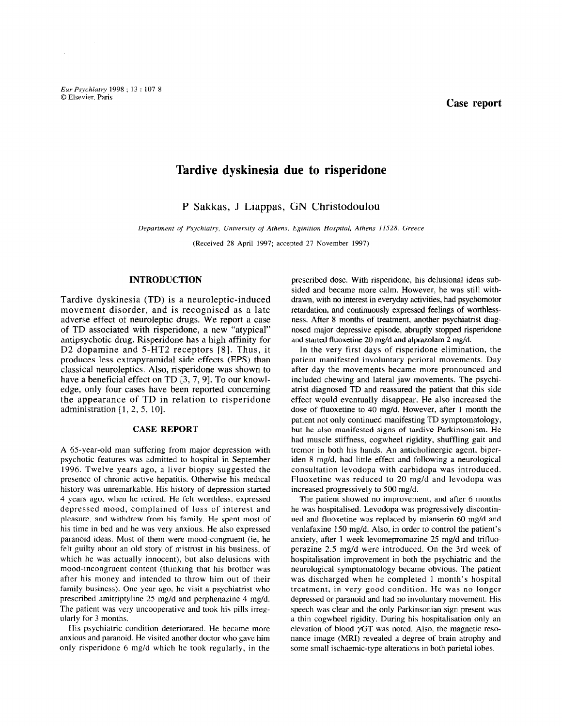Eur Psychiatry 1998; 13: 107-8  $\blacksquare$  Elsevier, Paris Case reported by the contract of the contract of the contract of the contract of the contract of the contract of the contract of the contract of the contract of the contract of the contract of the c

# Tardive dyskinesia due to risperidone

P Sakkas, J Liappas, GN Christodoulou

Department of Psychiatry, University of Athens, Eginition Hospital, Athens 11528, Greece (Received 28 April 1997; accepted 27 November 1997)

## INTRODUCTION

Tardive dyskinesia (TD) is a neuroleptic-induced movement disorder, and is recognised as a late adverse effect of neuroleptic drugs. We report a case of TD associated with risperidone, a new "atypical" antipsychotic drug. Risperidone has a high affinity for D2 dopamine and 5-HT2 receptors [8]. Thus, it produces less extrapyramidal side effects (EPS) than classical neuroleptics. Also, risperidone was shown to have a beneficial effect on TD [3, 7, 9]. To our knowledge, only four cases have been reported concerning the appearance of TD in relation to risperidone administration  $[1, 2, 5, 10]$ .

## CASE REPORT

A 65-year-old man suffering from major depression with psychotic features was admitted to hospital in September 1996. Twelve years ago, a liver biopsy suggested the presence of chronic active hepatitis. Otherwise his medical history was unremarkable. His history of depression started 4 years ago, when he retired. He felt worthless, expressed depressed mood, complained of loss of interest and  $\frac{1}{1}$  and  $\frac{1}{1}$  and  $\frac{1}{1}$  and  $\frac{1}{1}$  and  $\frac{1}{1}$  and  $\frac{1}{1}$  and  $\frac{1}{1}$  and  $\frac{1}{1}$  and  $\frac{1}{1}$  and  $\frac{1}{1}$  and  $\frac{1}{1}$  and  $\frac{1}{1}$  and  $\frac{1}{1}$  and  $\frac{1}{1}$  and  $\frac{1}{1}$  and  $\frac{1}{1}$  a  $h_{\text{total}}$  and  $h_{\text{total}}$  and  $h_{\text{total}}$  and  $h_{\text{total}}$  and  $h_{\text{total}}$  and  $h_{\text{total}}$  and  $h_{\text{total}}$  and  $h_{\text{total}}$  and  $h_{\text{total}}$  and  $h_{\text{total}}$  and  $h_{\text{total}}$  and  $h_{\text{total}}$  and  $h_{\text{total}}$  and  $h_{\text{total}}$  and  $h_{\text{total}}$  and  $h_{\text{total}}$  a his time in bed and he was very anxious. He also expressed paranoid ideas. Most of them were mood-congruent (ie, he further near about of them were move congruent (i.e., i.e. which he was actually innocent in the outside of the with also delusions with the with also delusions with the with the with the with the with the with the with the with the with the with the with the with the with the wit which he was actually innocent), but also delusions with mood-incongruent content (thinking that his brother was mood mongradin content (unifing that ins brother was after this money and intended to throw thin out of them family business). One year ago, he visit a psychiatrist who prescribed amitriptyline 25 mg/d and perphenazine 4 mg/d. The patient was very uncooperative and took his pills irregularly for 3 months. His psychiatric condition deteriorated. He became more

and payement condition determined. He became more anxious and paranoid. He visited another doctor who gave him only risperidone  $6 \text{ mg/d}$  which he took regularly, in the

prescribed dose. With risperidone, his delusional ideas subsided and became more calm. However, he was still withdrawn, with no interest in everyday activities, had psychomotor retardation, and continuously expressed feelings of worthlessness. After 8 months of treatment, another psychiatrist diagnosed major depressive episode, abruptly stopped risperidone and started fluoxetine 20 mg/d and alprazolam 2 mg/d.

In the very first days of risperidone elimination, the patient manifested involuntary perioral movements. Day after day the movements became more pronounced and included chewing and lateral jaw movements. The psychiatrist diagnosed TD and reassured the patient that this side effect would eventually disappear. He also increased the dose of fluoxetine to 40 mg/d. However, after I month the patient not only continued manifesting TD symptomatology, but he also manifested signs of tardive Parkinsonism. He had muscle stiffness, cogwheel rigidity, shuffling gait and tremor in both his hands. An anticholinergic agent, biperiden 8 mg/d, had little effect and following a neurological consultation levodopa with carbidopa was introduced. Fluoxetine was reduced to 20 mg/d and levodopa was increased progressively to 500 mg/d.

The patient showed no improvement, and after 6 months he was hospitalised. Levodopa was progressively discontinued and fluoxetine was replaced by mianserin 60 mg/d and venlafaxine 150 mg/d. Also, in order to control the patient's  $\alpha$  and  $\alpha$  mg/d and trifluo $m_{\text{F}}$ , and  $\epsilon$  were revementionally by mg/a and united perazine 2.5 mg/d were introduced. On the 3rd week of hospitalisation improvement in both the psychiatric and the neurological symptomatology became observed observed on the patient of the patients of the patients. neurongical symptomatology oceanic obvious. The panel was discharged when he compreted r month s nospit depressed or paramonic and had no involuntion. depressed or paranoid and had no involuntary movement. His speech was clear and the only Parkinsonian sign present was a thin cogwheel rigidity. During his hospitalisation only an elevation of blood  $\gamma$ GT was noted. Also, the magnetic resonance image (MRI) revealed a degree of brain atrophy and some small ischaemic-type alterations in both parietal lobes.